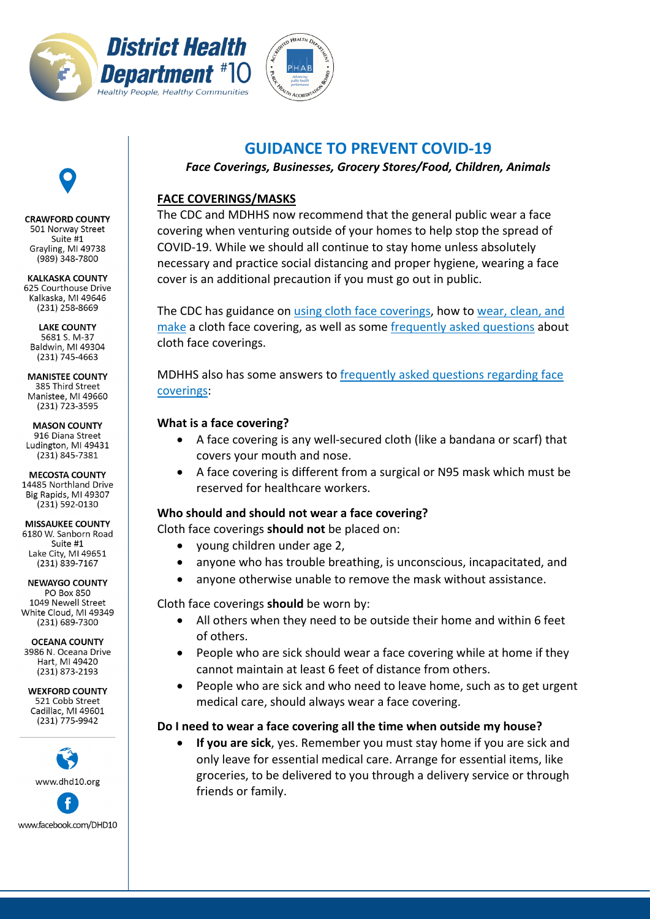



# **GUIDANCE TO PREVENT COVID-19**

*Face Coverings, Businesses, Grocery Stores/Food, Children, Animals*

# **FACE COVERINGS/MASKS**

The CDC and MDHHS now recommend that the general public wear a face covering when venturing outside of your homes to help stop the spread of COVID-19. While we should all continue to stay home unless absolutely necessary and practice social distancing and proper hygiene, wearing a face cover is an additional precaution if you must go out in public.

The CDC has guidance on [using cloth face coverings,](https://www.cdc.gov/coronavirus/2019-ncov/prevent-getting-sick/cloth-face-cover.html) how to [wear, clean, and](https://www.cdc.gov/coronavirus/2019-ncov/prevent-getting-sick/diy-cloth-face-coverings.html)  [make](https://www.cdc.gov/coronavirus/2019-ncov/prevent-getting-sick/diy-cloth-face-coverings.html) a cloth face covering, as well as some [frequently asked questions](https://www.cdc.gov/coronavirus/2019-ncov/prevent-getting-sick/cloth-face-cover-faq.html) about cloth face coverings.

MDHHS also has some answers to [frequently asked questions regarding face](https://www.michigan.gov/documents/coronavirus/Face_Coverings_Guidance_for_non-healthcare_workers_Final_685949_7.pdf)  [coverings:](https://www.michigan.gov/documents/coronavirus/Face_Coverings_Guidance_for_non-healthcare_workers_Final_685949_7.pdf)

# **What is a face covering?**

- A face covering is any well-secured cloth (like a bandana or scarf) that covers your mouth and nose.
- A face covering is different from a surgical or N95 mask which must be reserved for healthcare workers.

# **Who should and should not wear a face covering?**

Cloth face coverings **should not** be placed on:

- young children under age 2,
- anyone who has trouble breathing, is unconscious, incapacitated, and
- anyone otherwise unable to remove the mask without assistance.

Cloth face coverings **should** be worn by:

- All others when they need to be outside their home and within 6 feet of others.
- People who are sick should wear a face covering while at home if they cannot maintain at least 6 feet of distance from others.
- People who are sick and who need to leave home, such as to get urgent medical care, should always wear a face covering.

# **Do I need to wear a face covering all the time when outside my house?**

• **If you are sick**, yes. Remember you must stay home if you are sick and only leave for essential medical care. Arrange for essential items, like groceries, to be delivered to you through a delivery service or through friends or family.

CRAWFORD COUNTY 501 Norway Street Suite #1 Grayling, MI 49738  $(989)$  348-7800

**KALKASKA COUNTY** 625 Courthouse Drive Kalkaska, MI 49646  $(231)$  258-8669

**LAKE COUNTY** 5681 S. M-37 Baldwin, MI 49304  $(231)$  745-4663

**MANISTEE COUNTY** 385 Third Street Manistee, MI 49660 (231) 723-3595

**MASON COUNTY** 916 Diana Street Ludington, MI 49431 (231) 845-7381

**MECOSTA COUNTY** 14485 Northland Drive Big Rapids, MI 49307 (231) 592-0130

**MISSAUKEE COUNTY** 6180 W. Sanborn Road Suite #1 Lake City, MI 49651 (231) 839-7167

**NEWAYGO COUNTY PO Box 850** 1049 Newell Street White Cloud, MI 49349  $(231)$  689-7300

**OCEANA COUNTY** 

3986 N. Oceana Drive Hart, MI 49420  $(231)$  873-2193

**WEXFORD COUNTY** 521 Cobb Street Cadillac, MI 49601  $(231)$  775-9942

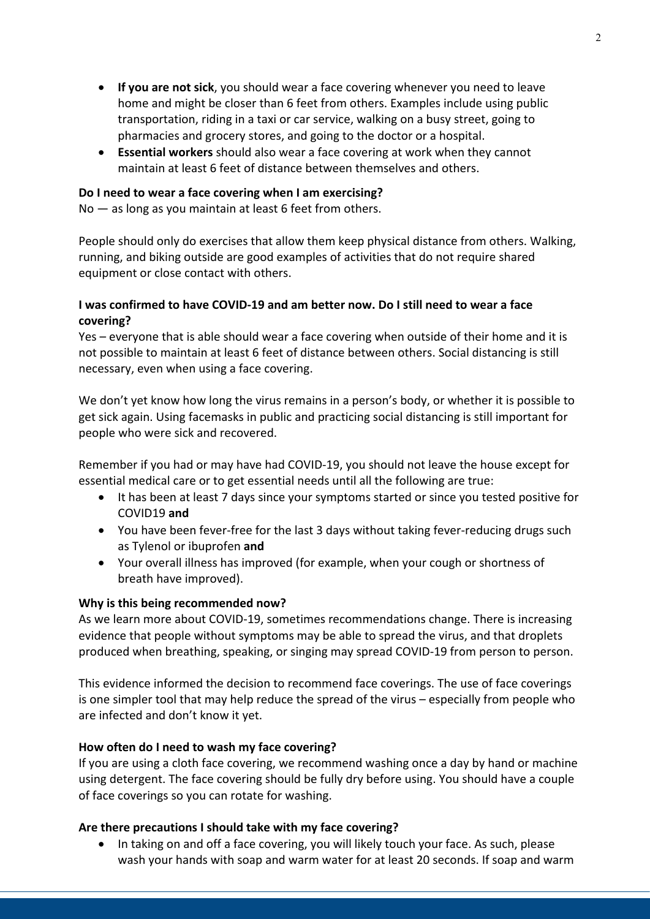- **If you are not sick**, you should wear a face covering whenever you need to leave home and might be closer than 6 feet from others. Examples include using public transportation, riding in a taxi or car service, walking on a busy street, going to pharmacies and grocery stores, and going to the doctor or a hospital.
- **Essential workers** should also wear a face covering at work when they cannot maintain at least 6 feet of distance between themselves and others.

#### **Do I need to wear a face covering when I am exercising?**

No — as long as you maintain at least 6 feet from others.

People should only do exercises that allow them keep physical distance from others. Walking, running, and biking outside are good examples of activities that do not require shared equipment or close contact with others.

## **I was confirmed to have COVID-19 and am better now. Do I still need to wear a face covering?**

Yes – everyone that is able should wear a face covering when outside of their home and it is not possible to maintain at least 6 feet of distance between others. Social distancing is still necessary, even when using a face covering.

We don't yet know how long the virus remains in a person's body, or whether it is possible to get sick again. Using facemasks in public and practicing social distancing is still important for people who were sick and recovered.

Remember if you had or may have had COVID-19, you should not leave the house except for essential medical care or to get essential needs until all the following are true:

- It has been at least 7 days since your symptoms started or since you tested positive for COVID19 **and**
- You have been fever-free for the last 3 days without taking fever-reducing drugs such as Tylenol or ibuprofen **and**
- Your overall illness has improved (for example, when your cough or shortness of breath have improved).

#### **Why is this being recommended now?**

As we learn more about COVID-19, sometimes recommendations change. There is increasing evidence that people without symptoms may be able to spread the virus, and that droplets produced when breathing, speaking, or singing may spread COVID-19 from person to person.

This evidence informed the decision to recommend face coverings. The use of face coverings is one simpler tool that may help reduce the spread of the virus – especially from people who are infected and don't know it yet.

#### **How often do I need to wash my face covering?**

If you are using a cloth face covering, we recommend washing once a day by hand or machine using detergent. The face covering should be fully dry before using. You should have a couple of face coverings so you can rotate for washing.

#### **Are there precautions I should take with my face covering?**

• In taking on and off a face covering, you will likely touch your face. As such, please wash your hands with soap and warm water for at least 20 seconds. If soap and warm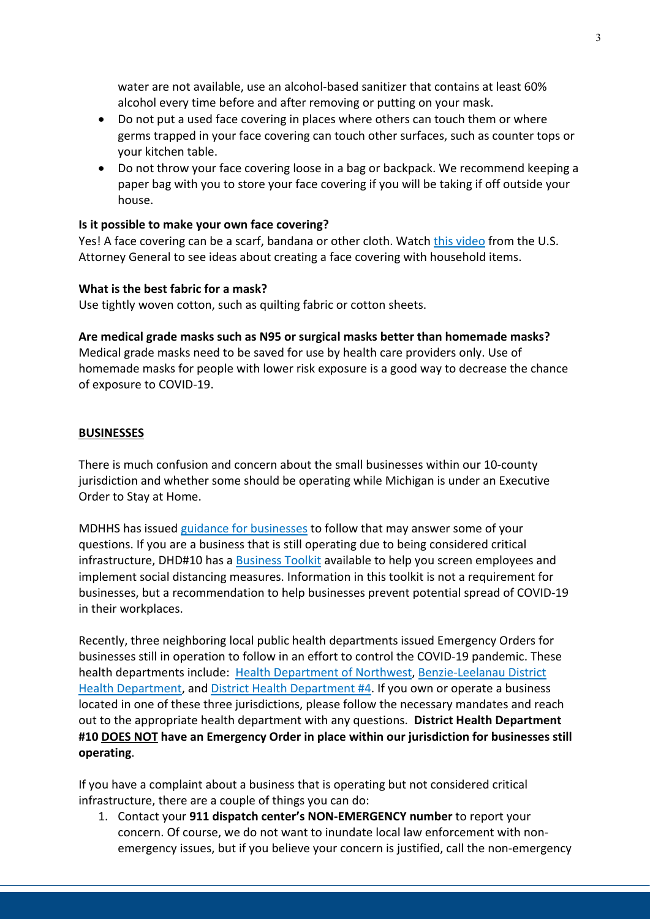water are not available, use an alcohol-based sanitizer that contains at least 60% alcohol every time before and after removing or putting on your mask.

- Do not put a used face covering in places where others can touch them or where germs trapped in your face covering can touch other surfaces, such as counter tops or your kitchen table.
- Do not throw your face covering loose in a bag or backpack. We recommend keeping a paper bag with you to store your face covering if you will be taking if off outside your house.

#### **Is it possible to make your own face covering?**

Yes! A face covering can be a scarf, bandana or other cloth. Watch [this video](https://www.youtube.com/watch?v=tPx1yqvJgf4&feature=youtu.be) from the U.S. Attorney General to see ideas about creating a face covering with household items.

## **What is the best fabric for a mask?**

Use tightly woven cotton, such as quilting fabric or cotton sheets.

## **Are medical grade masks such as N95 or surgical masks better than homemade masks?**

Medical grade masks need to be saved for use by health care providers only. Use of homemade masks for people with lower risk exposure is a good way to decrease the chance of exposure to COVID-19.

## **BUSINESSES**

There is much confusion and concern about the small businesses within our 10-county jurisdiction and whether some should be operating while Michigan is under an Executive Order to Stay at Home.

MDHHS has issue[d guidance for businesses](https://www.michigan.gov/coronavirus/0,9753,7-406-98178_98737---,00.html) to follow that may answer some of your questions. If you are a business that is still operating due to being considered critical infrastructure, DHD#10 has a [Business Toolkit](https://www.dhd10.org/wp-content/uploads/2020/04/DHD10_COVID-19_-WorkplacePacket_Businesses.pdf) available to help you screen employees and implement social distancing measures. Information in this toolkit is not a requirement for businesses, but a recommendation to help businesses prevent potential spread of COVID-19 in their workplaces.

Recently, three neighboring local public health departments issued Emergency Orders for businesses still in operation to follow in an effort to control the COVID-19 pandemic. These health departments include: [Health Department of Northwest,](http://www.nwhealth.org/newsreleases/2020-1%20Public%20Health%20Emergency%20Order.pdf) [Benzie-Leelanau District](http://www.bldhd.org/local/upload/file/4_5_2020%20Public%20Health%20Emergency%20Order%20BLDHD%20Final.pdf)  [Health Department,](http://www.bldhd.org/local/upload/file/4_5_2020%20Public%20Health%20Emergency%20Order%20BLDHD%20Final.pdf) and [District Health Department #4.](https://www.dhd4.org/wp-content/uploads/2020/04/DHD4-Emergency-Executive-Order-2020-1.pdf) If you own or operate a business located in one of these three jurisdictions, please follow the necessary mandates and reach out to the appropriate health department with any questions. **District Health Department #10 DOES NOT have an Emergency Order in place within our jurisdiction for businesses still operating**.

If you have a complaint about a business that is operating but not considered critical infrastructure, there are a couple of things you can do:

1. Contact your **911 dispatch center's NON-EMERGENCY number** to report your concern. Of course, we do not want to inundate local law enforcement with nonemergency issues, but if you believe your concern is justified, call the non-emergency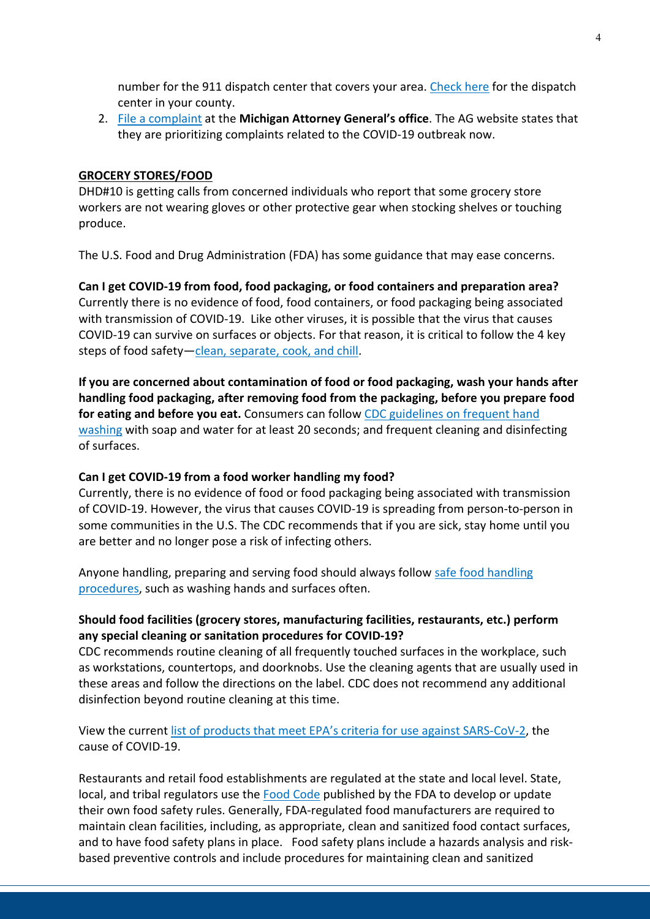number for the 911 dispatch center that covers your area. [Check here](https://www.michigan.gov/documents/msp/911_Dispatch_Centers_and_PSAPs_592540_7.pdf) for the dispatch center in your county.

2. [File a complaint](https://www.michigan.gov/ag/0,4534,7-359-82915_82919_86407---,00.html) at the **Michigan Attorney General's office**. The AG website states that they are prioritizing complaints related to the COVID-19 outbreak now.

#### **GROCERY STORES/FOOD**

DHD#10 is getting calls from concerned individuals who report that some grocery store workers are not wearing gloves or other protective gear when stocking shelves or touching produce.

The U.S. Food and Drug Administration (FDA) has some guidance that may ease concerns.

**Can I get COVID-19 from food, food packaging, or food containers and preparation area?** Currently there is no evidence of food, food containers, or food packaging being associated with transmission of COVID-19. Like other viruses, it is possible that the virus that causes COVID-19 can survive on surfaces or objects. For that reason, it is critical to follow the 4 key steps of food safety[—clean, separate, cook, and chill.](https://www.foodsafety.gov/keep-food-safe/4-steps-to-food-safety)

**If you are concerned about contamination of food or food packaging, wash your hands after handling food packaging, after removing food from the packaging, before you prepare food for eating and before you eat.** Consumers can follow [CDC guidelines on frequent hand](https://www.cdc.gov/handwashing/)  [washing](https://www.cdc.gov/handwashing/) with soap and water for at least 20 seconds; and frequent cleaning and disinfecting of surfaces.

#### **Can I get COVID-19 from a food worker handling my food?**

Currently, there is no evidence of food or food packaging being associated with transmission of COVID-19. However, the virus that causes COVID-19 is spreading from person-to-person in some communities in the U.S. The CDC recommends that if you are sick, stay home until you are better and no longer pose a risk of infecting others.

Anyone handling, preparing and serving food should always follow [safe food handling](https://www.fda.gov/food/buy-store-serve-safe-food/safe-food-handling)  [procedures,](https://www.fda.gov/food/buy-store-serve-safe-food/safe-food-handling) such as washing hands and surfaces often.

## **Should food facilities (grocery stores, manufacturing facilities, restaurants, etc.) perform any special cleaning or sanitation procedures for COVID-19?**

CDC recommends routine cleaning of all frequently touched surfaces in the workplace, such as workstations, countertops, and doorknobs. Use the cleaning agents that are usually used in these areas and follow the directions on the label. CDC does not recommend any additional disinfection beyond routine cleaning at this time.

View the current [list of products that meet EPA's criteria for use against SARS-CoV-2,](https://www.epa.gov/pesticide-registration/list-n-disinfectants-use-against-sars-cov-2) the cause of COVID-19.

Restaurants and retail food establishments are regulated at the state and local level. State, local, and tribal regulators use the [Food Code](https://www.fda.gov/food/retail-food-protection/fda-food-code) published by the FDA to develop or update their own food safety rules. Generally, FDA-regulated food manufacturers are required to maintain clean facilities, including, as appropriate, clean and sanitized food contact surfaces, and to have food safety plans in place. Food safety plans include a hazards analysis and riskbased preventive controls and include procedures for maintaining clean and sanitized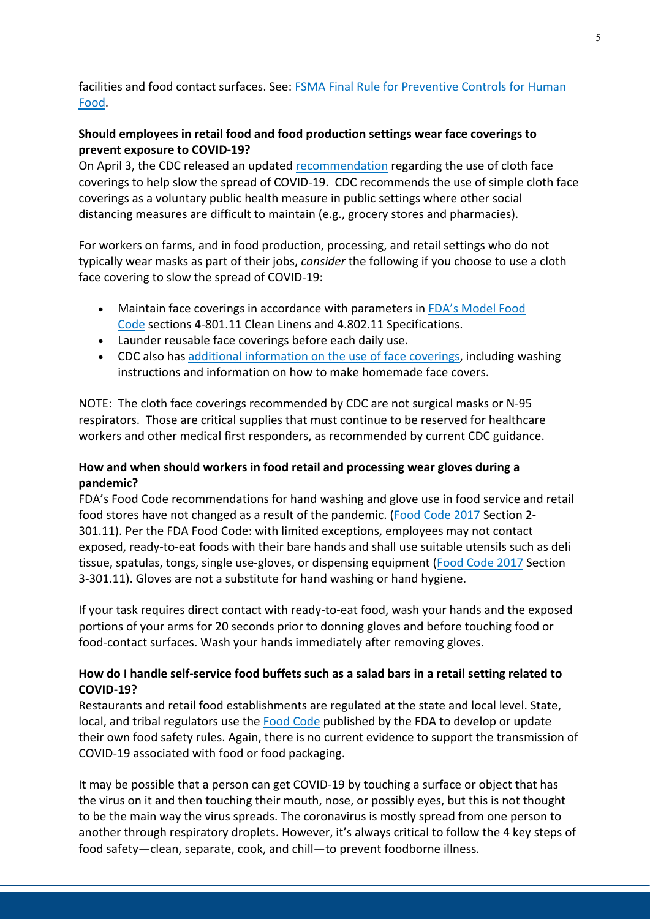# facilities and food contact surfaces. See: [FSMA Final Rule for Preventive Controls for Human](https://www.fda.gov/food/food-safety-modernization-act-fsma/fsma-final-rule-preventive-controls-human-food)  [Food.](https://www.fda.gov/food/food-safety-modernization-act-fsma/fsma-final-rule-preventive-controls-human-food)

# **Should employees in retail food and food production settings wear face coverings to prevent exposure to COVID-19?**

On April 3, the CDC released an updated [recommendation](https://www.cdc.gov/coronavirus/2019-ncov/prevent-getting-sick/cloth-face-cover.html) regarding the use of cloth face coverings to help slow the spread of COVID-19. CDC recommends the use of simple cloth face coverings as a voluntary public health measure in public settings where other social distancing measures are difficult to maintain (e.g., grocery stores and pharmacies).

For workers on farms, and in food production, processing, and retail settings who do not typically wear masks as part of their jobs, *consider* the following if you choose to use a cloth face covering to slow the spread of COVID-19:

- Maintain face coverings in accordance with parameters in [FDA's Model Food](https://www.fda.gov/food/retail-food-protection/fda-food-code)  [Code](https://www.fda.gov/food/retail-food-protection/fda-food-code) sections 4-801.11 Clean Linens and 4.802.11 Specifications.
- Launder reusable face coverings before each daily use.
- CDC also has [additional information on the use of face coverings,](https://www.cdc.gov/coronavirus/2019-ncov/prevent-getting-sick/diy-cloth-face-coverings.html) including washing instructions and information on how to make homemade face covers.

NOTE: The cloth face coverings recommended by CDC are not surgical masks or N-95 respirators. Those are critical supplies that must continue to be reserved for healthcare workers and other medical first responders, as recommended by current CDC guidance.

# **How and when should workers in food retail and processing wear gloves during a pandemic?**

FDA's Food Code recommendations for hand washing and glove use in food service and retail food stores have not changed as a result of the pandemic. [\(Food Code 2017](https://www.fda.gov/food/fda-food-code/food-code-2017) Section 2- 301.11). Per the FDA Food Code: with limited exceptions, employees may not contact exposed, ready-to-eat foods with their bare hands and shall use suitable utensils such as deli tissue, spatulas, tongs, single use-gloves, or dispensing equipment [\(Food Code 2017](https://www.fda.gov/food/fda-food-code/food-code-2017) Section 3-301.11). Gloves are not a substitute for hand washing or hand hygiene.

If your task requires direct contact with ready-to-eat food, wash your hands and the exposed portions of your arms for 20 seconds prior to donning gloves and before touching food or food-contact surfaces. Wash your hands immediately after removing gloves.

# **How do I handle self-service food buffets such as a salad bars in a retail setting related to COVID-19?**

Restaurants and retail food establishments are regulated at the state and local level. State, local, and tribal regulators use the [Food Code](https://www.fda.gov/food/retail-food-protection/fda-food-code) published by the FDA to develop or update their own food safety rules. Again, there is no current evidence to support the transmission of COVID-19 associated with food or food packaging.

It may be possible that a person can get COVID-19 by touching a surface or object that has the virus on it and then touching their mouth, nose, or possibly eyes, but this is not thought to be the main way the virus spreads. The coronavirus is mostly spread from one person to another through respiratory droplets. However, it's always critical to follow the 4 key steps of food safety—clean, separate, cook, and chill—to prevent foodborne illness.